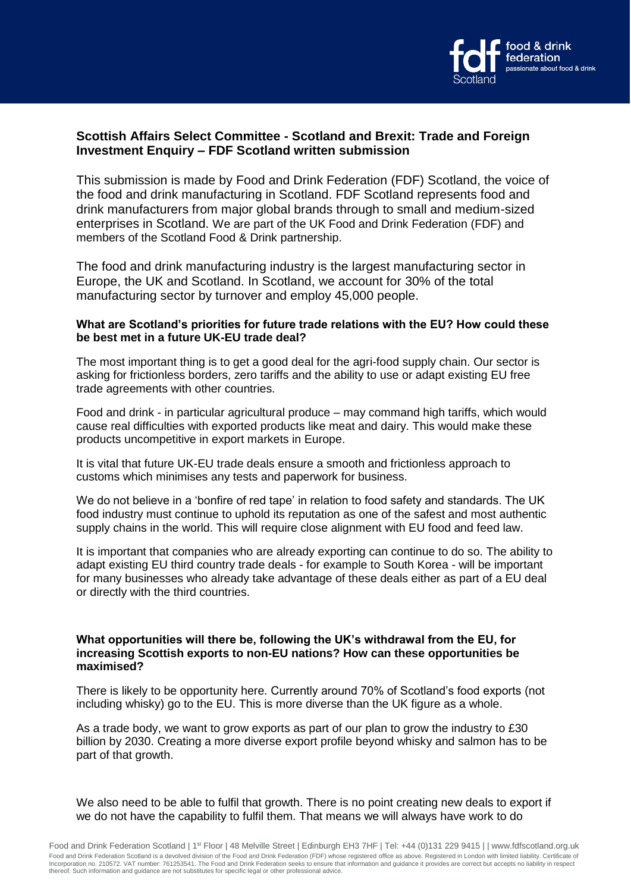

# **Scottish Affairs Select Committee - Scotland and Brexit: Trade and Foreign Investment Enquiry – FDF Scotland written submission**

This submission is made by Food and Drink Federation (FDF) Scotland, the voice of the food and drink manufacturing in Scotland. FDF Scotland represents food and drink manufacturers from major global brands through to small and medium-sized enterprises in Scotland. We are part of the UK Food and Drink Federation (FDF) and members of the Scotland Food & Drink partnership.

The food and drink manufacturing industry is the largest manufacturing sector in Europe, the UK and Scotland. In Scotland, we account for 30% of the total manufacturing sector by turnover and employ 45,000 people.

## **What are Scotland's priorities for future trade relations with the EU? How could these be best met in a future UK-EU trade deal?**

The most important thing is to get a good deal for the agri-food supply chain. Our sector is asking for frictionless borders, zero tariffs and the ability to use or adapt existing EU free trade agreements with other countries.

Food and drink - in particular agricultural produce – may command high tariffs, which would cause real difficulties with exported products like meat and dairy. This would make these products uncompetitive in export markets in Europe.

It is vital that future UK-EU trade deals ensure a smooth and frictionless approach to customs which minimises any tests and paperwork for business.

We do not believe in a 'bonfire of red tape' in relation to food safety and standards. The UK food industry must continue to uphold its reputation as one of the safest and most authentic supply chains in the world. This will require close alignment with EU food and feed law.

It is important that companies who are already exporting can continue to do so. The ability to adapt existing EU third country trade deals - for example to South Korea - will be important for many businesses who already take advantage of these deals either as part of a EU deal or directly with the third countries.

#### **What opportunities will there be, following the UK's withdrawal from the EU, for increasing Scottish exports to non-EU nations? How can these opportunities be maximised?**

There is likely to be opportunity here. Currently around 70% of Scotland's food exports (not including whisky) go to the EU. This is more diverse than the UK figure as a whole.

As a trade body, we want to grow exports as part of our plan to grow the industry to £30 billion by 2030. Creating a more diverse export profile beyond whisky and salmon has to be part of that growth.

We also need to be able to fulfil that growth. There is no point creating new deals to export if we do not have the capability to fulfil them. That means we will always have work to do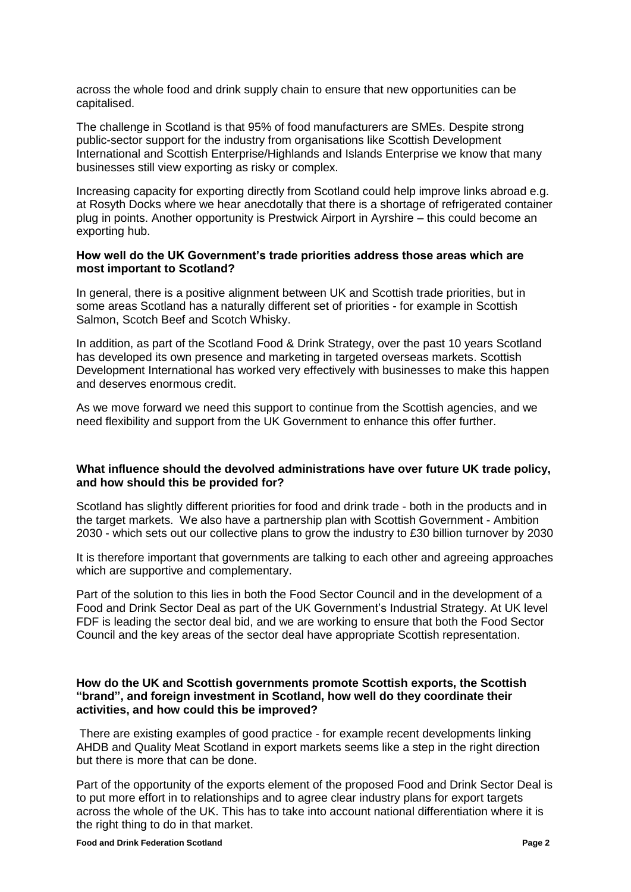across the whole food and drink supply chain to ensure that new opportunities can be capitalised.

The challenge in Scotland is that 95% of food manufacturers are SMEs. Despite strong public-sector support for the industry from organisations like Scottish Development International and Scottish Enterprise/Highlands and Islands Enterprise we know that many businesses still view exporting as risky or complex.

Increasing capacity for exporting directly from Scotland could help improve links abroad e.g. at Rosyth Docks where we hear anecdotally that there is a shortage of refrigerated container plug in points. Another opportunity is Prestwick Airport in Ayrshire – this could become an exporting hub.

#### **How well do the UK Government's trade priorities address those areas which are most important to Scotland?**

In general, there is a positive alignment between UK and Scottish trade priorities, but in some areas Scotland has a naturally different set of priorities - for example in Scottish Salmon, Scotch Beef and Scotch Whisky.

In addition, as part of the Scotland Food & Drink Strategy, over the past 10 years Scotland has developed its own presence and marketing in targeted overseas markets. Scottish Development International has worked very effectively with businesses to make this happen and deserves enormous credit.

As we move forward we need this support to continue from the Scottish agencies, and we need flexibility and support from the UK Government to enhance this offer further.

## **What influence should the devolved administrations have over future UK trade policy, and how should this be provided for?**

Scotland has slightly different priorities for food and drink trade - both in the products and in the target markets. We also have a partnership plan with Scottish Government - Ambition 2030 - which sets out our collective plans to grow the industry to £30 billion turnover by 2030

It is therefore important that governments are talking to each other and agreeing approaches which are supportive and complementary.

Part of the solution to this lies in both the Food Sector Council and in the development of a Food and Drink Sector Deal as part of the UK Government's Industrial Strategy. At UK level FDF is leading the sector deal bid, and we are working to ensure that both the Food Sector Council and the key areas of the sector deal have appropriate Scottish representation.

### **How do the UK and Scottish governments promote Scottish exports, the Scottish "brand", and foreign investment in Scotland, how well do they coordinate their activities, and how could this be improved?**

There are existing examples of good practice - for example recent developments linking AHDB and Quality Meat Scotland in export markets seems like a step in the right direction but there is more that can be done.

Part of the opportunity of the exports element of the proposed Food and Drink Sector Deal is to put more effort in to relationships and to agree clear industry plans for export targets across the whole of the UK. This has to take into account national differentiation where it is the right thing to do in that market.